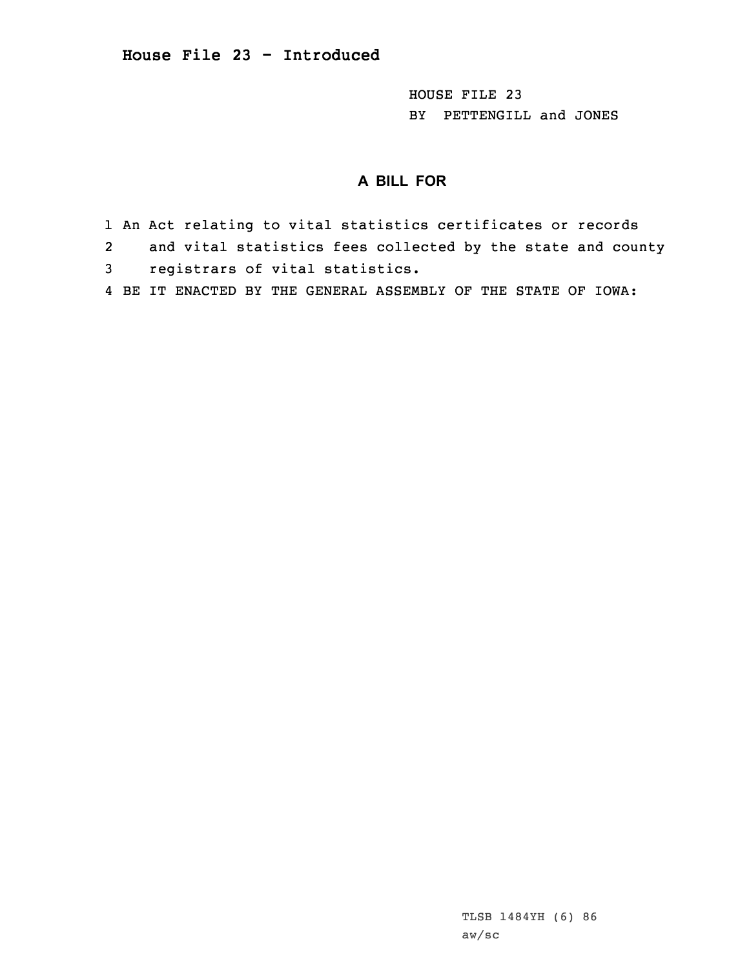HOUSE FILE 23 BY PETTENGILL and JONES

## **A BILL FOR**

- 1 An Act relating to vital statistics certificates or records
- 2and vital statistics fees collected by the state and county
- 3 registrars of vital statistics.
- 4 BE IT ENACTED BY THE GENERAL ASSEMBLY OF THE STATE OF IOWA: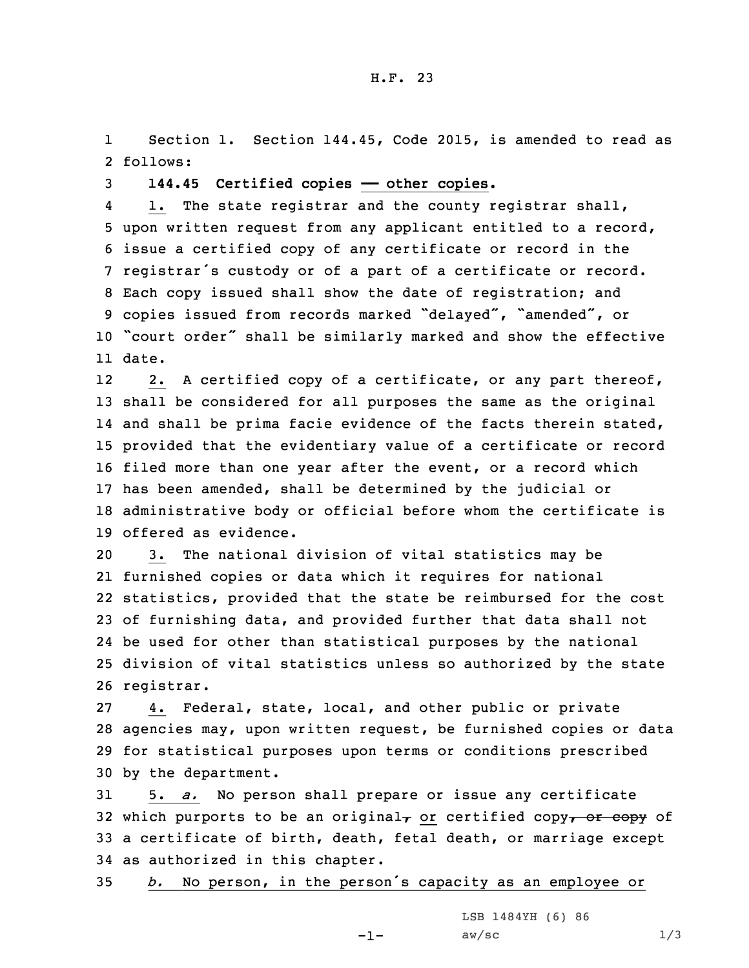1 Section 1. Section 144.45, Code 2015, is amended to read as 2 follows:

3 **144.45 Certified copies —— other copies.**

4 1. The state registrar and the county registrar shall, upon written request from any applicant entitled to <sup>a</sup> record, issue <sup>a</sup> certified copy of any certificate or record in the registrar's custody or of <sup>a</sup> part of <sup>a</sup> certificate or record. Each copy issued shall show the date of registration; and copies issued from records marked "delayed", "amended", or "court order" shall be similarly marked and show the effective 11 date.

12 2. <sup>A</sup> certified copy of <sup>a</sup> certificate, or any part thereof, shall be considered for all purposes the same as the original 14 and shall be prima facie evidence of the facts therein stated, provided that the evidentiary value of <sup>a</sup> certificate or record filed more than one year after the event, or <sup>a</sup> record which has been amended, shall be determined by the judicial or administrative body or official before whom the certificate is offered as evidence.

 3. The national division of vital statistics may be furnished copies or data which it requires for national statistics, provided that the state be reimbursed for the cost of furnishing data, and provided further that data shall not be used for other than statistical purposes by the national division of vital statistics unless so authorized by the state registrar.

 4. Federal, state, local, and other public or private agencies may, upon written request, be furnished copies or data for statistical purposes upon terms or conditions prescribed by the department.

 5. *a.* No person shall prepare or issue any certificate 32 which purports to be an original<sub> $\tau$ </sub> or certified copy $\tau$  or copy of <sup>a</sup> certificate of birth, death, fetal death, or marriage except as authorized in this chapter.

<sup>35</sup> *b.* No person, in the person's capacity as an employee or

-1-

LSB 1484YH (6) 86  $aw/sec$  1/3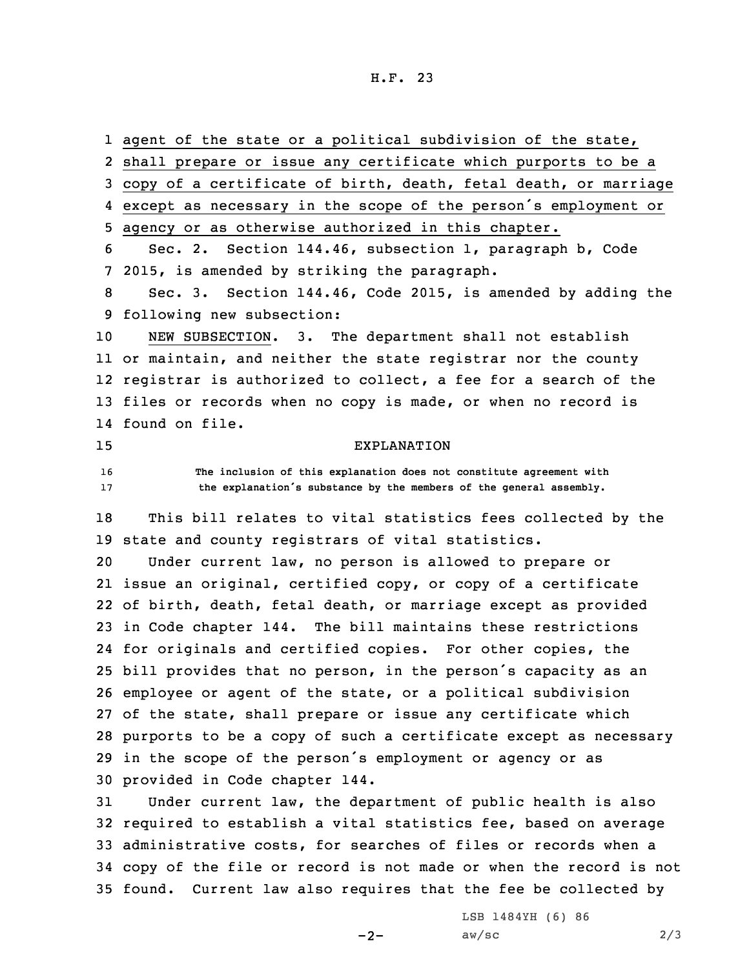H.F. 23

1 agent of the state or a political subdivision of the state, shall prepare or issue any certificate which purports to be <sup>a</sup> copy of <sup>a</sup> certificate of birth, death, fetal death, or marriage except as necessary in the scope of the person's employment or agency or as otherwise authorized in this chapter. Sec. 2. Section 144.46, subsection 1, paragraph b, Code 2015, is amended by striking the paragraph. Sec. 3. Section 144.46, Code 2015, is amended by adding the following new subsection: NEW SUBSECTION. 3. The department shall not establish or maintain, and neither the state registrar nor the county registrar is authorized to collect, <sup>a</sup> fee for <sup>a</sup> search of the 13 files or records when no copy is made, or when no record is found on file. EXPLANATION **The inclusion of this explanation does not constitute agreement with the explanation's substance by the members of the general assembly.** This bill relates to vital statistics fees collected by the state and county registrars of vital statistics. Under current law, no person is allowed to prepare or issue an original, certified copy, or copy of <sup>a</sup> certificate of birth, death, fetal death, or marriage except as provided in Code chapter 144. The bill maintains these restrictions for originals and certified copies. For other copies, the bill provides that no person, in the person's capacity as an employee or agent of the state, or <sup>a</sup> political subdivision of the state, shall prepare or issue any certificate which purports to be <sup>a</sup> copy of such <sup>a</sup> certificate except as necessary in the scope of the person's employment or agency or as provided in Code chapter 144. Under current law, the department of public health is also required to establish <sup>a</sup> vital statistics fee, based on average administrative costs, for searches of files or records when <sup>a</sup> copy of the file or record is not made or when the record is not found. Current law also requires that the fee be collected by

 $-2-$ 

LSB 1484YH (6) 86  $aw/\text{sc}$  2/3